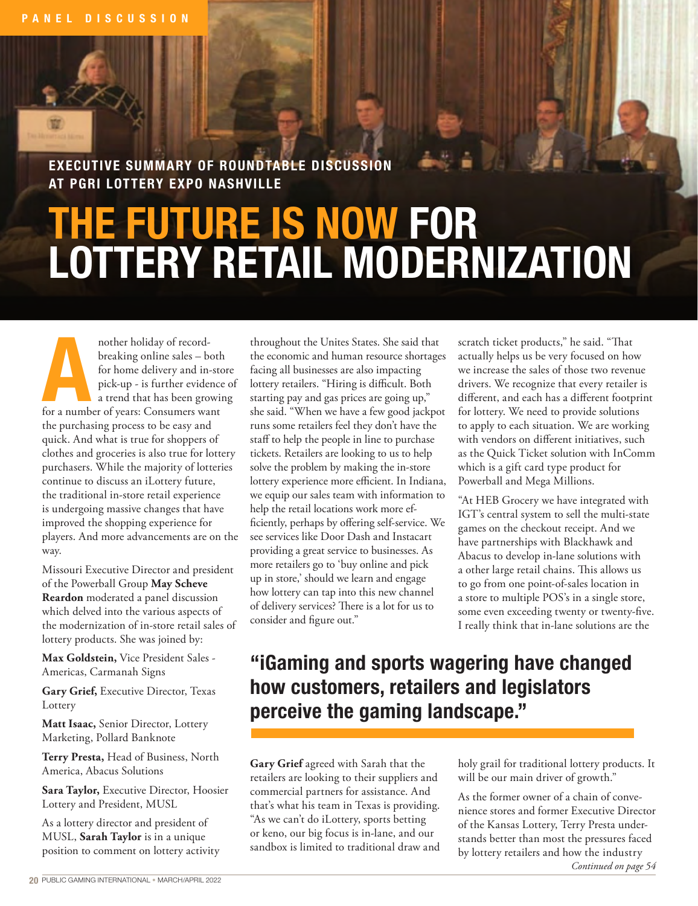EXECUTIVE SUMMARY OF ROUNDTABLE DISCUSSION AT PGRI LOTTERY EXPO NASHVILLE

## THE FUTURE IS NOW FOR LOTTERY RETAIL MODERNIZATION

**AND ANOTEST MOREGARIST CONSUMED SERVICE SERVICE AND FOR A THE SPICE OF A NUMBER OF A NUMBER OF YEARS (SO SURFACE SPICE A THE SPICE OF YEARS CONSUMER WANT OF A NUMBER OF YEARS (SO SUMBER 1976) AND A THE SPICE OF A NUMBER O** breaking online sales – both for home delivery and in-store pick-up - is further evidence of a trend that has been growing the purchasing process to be easy and quick. And what is true for shoppers of clothes and groceries is also true for lottery purchasers. While the majority of lotteries continue to discuss an iLottery future, the traditional in-store retail experience is undergoing massive changes that have improved the shopping experience for players. And more advancements are on the way.

Missouri Executive Director and president of the Powerball Group **May Scheve Reardon** moderated a panel discussion which delved into the various aspects of the modernization of in-store retail sales of lottery products. She was joined by:

**Max Goldstein,** Vice President Sales - Americas, Carmanah Signs

**Gary Grief,** Executive Director, Texas **Lottery** 

**Matt Isaac,** Senior Director, Lottery Marketing, Pollard Banknote

**Terry Presta,** Head of Business, North America, Abacus Solutions

**Sara Taylor,** Executive Director, Hoosier Lottery and President, MUSL

As a lottery director and president of MUSL, **Sarah Taylor** is in a unique position to comment on lottery activity

throughout the Unites States. She said that the economic and human resource shortages facing all businesses are also impacting lottery retailers. "Hiring is difficult. Both starting pay and gas prices are going up," she said. "When we have a few good jackpot runs some retailers feel they don't have the staff to help the people in line to purchase tickets. Retailers are looking to us to help solve the problem by making the in-store lottery experience more efficient. In Indiana, we equip our sales team with information to help the retail locations work more efficiently, perhaps by offering self-service. We see services like Door Dash and Instacart providing a great service to businesses. As more retailers go to 'buy online and pick up in store,' should we learn and engage how lottery can tap into this new channel of delivery services? There is a lot for us to consider and figure out."

scratch ticket products," he said. "That actually helps us be very focused on how we increase the sales of those two revenue drivers. We recognize that every retailer is different, and each has a different footprint for lottery. We need to provide solutions to apply to each situation. We are working with vendors on different initiatives, such as the Quick Ticket solution with InComm which is a gift card type product for Powerball and Mega Millions.

"At HEB Grocery we have integrated with IGT's central system to sell the multi-state games on the checkout receipt. And we have partnerships with Blackhawk and Abacus to develop in-lane solutions with a other large retail chains. This allows us to go from one point-of-sales location in a store to multiple POS's in a single store, some even exceeding twenty or twenty-five. I really think that in-lane solutions are the

## "iGaming and sports wagering have changed how customers, retailers and legislators perceive the gaming landscape."

**Gary Grief** agreed with Sarah that the retailers are looking to their suppliers and commercial partners for assistance. And that's what his team in Texas is providing. "As we can't do iLottery, sports betting or keno, our big focus is in-lane, and our sandbox is limited to traditional draw and holy grail for traditional lottery products. It will be our main driver of growth."

As the former owner of a chain of convenience stores and former Executive Director of the Kansas Lottery, Terry Presta understands better than most the pressures faced by lottery retailers and how the industry *Continued on page 54*